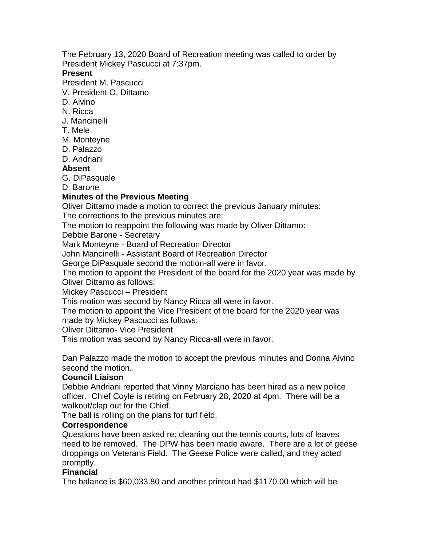The February 13, 2020 Board of Recreation meeting was called to order by President Mickey Pascucci at 7:37pm.

### **Present**

President M. Pascucci

V. President O. Dittamo

- D. Alvino
- N. Ricca
- J. Mancinelli
- T. Mele
- M. Monteyne
- D. Palazzo
- D. Andriani

## **Absent**

G. DiPasquale

D. Barone

### **Minutes of the Previous Meeting**

Oliver Dittamo made a motion to correct the previous January minutes:

The corrections to the previous minutes are:

The motion to reappoint the following was made by Oliver Dittamo:

Debbie Barone - Secretary

Mark Monteyne - Board of Recreation Director

John Mancinelli - Assistant Board of Recreation Director

George DiPasquale second the motion-all were in favor.

The motion to appoint the President of the board for the 2020 year was made by Oliver Dittamo as follows:

Mickey Pascucci – President

This motion was second by Nancy Ricca-all were in favor.

The motion to appoint the Vice President of the board for the 2020 year was made by Mickey Pascucci as follows:

Oliver Dittamo- Vice President

This motion was second by Nancy Ricca-all were in favor.

Dan Palazzo made the motion to accept the previous minutes and Donna Alvino second the motion.

### **Council Liaison**

Debbie Andriani reported that Vinny Marciano has been hired as a new police officer. Chief Coyle is retiring on February 28, 2020 at 4pm. There will be a walkout/clap out for the Chief.

The ball is rolling on the plans for turf field.

### **Correspondence**

Questions have been asked re: cleaning out the tennis courts, lots of leaves need to be removed. The DPW has been made aware. There are a lot of geese droppings on Veterans Field. The Geese Police were called, and they acted promptly.

### **Financial**

The balance is \$60,033.80 and another printout had \$1170.00 which will be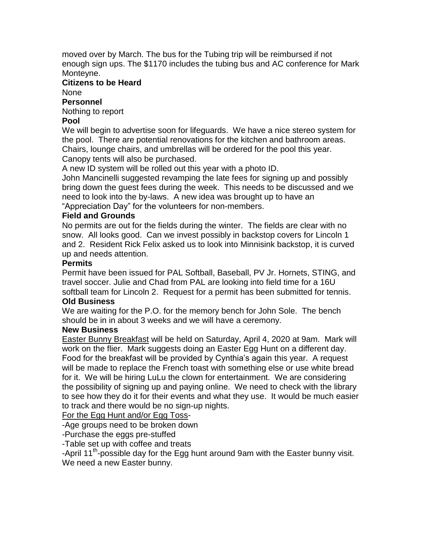moved over by March. The bus for the Tubing trip will be reimbursed if not enough sign ups. The \$1170 includes the tubing bus and AC conference for Mark Monteyne.

# **Citizens to be Heard**

None

### **Personnel**

Nothing to report

## **Pool**

We will begin to advertise soon for lifeguards. We have a nice stereo system for the pool. There are potential renovations for the kitchen and bathroom areas. Chairs, lounge chairs, and umbrellas will be ordered for the pool this year. Canopy tents will also be purchased.

A new ID system will be rolled out this year with a photo ID.

John Mancinelli suggested revamping the late fees for signing up and possibly bring down the guest fees during the week. This needs to be discussed and we need to look into the by-laws. A new idea was brought up to have an "Appreciation Day" for the volunteers for non-members.

## **Field and Grounds**

No permits are out for the fields during the winter. The fields are clear with no snow. All looks good. Can we invest possibly in backstop covers for Lincoln 1 and 2. Resident Rick Felix asked us to look into Minnisink backstop, it is curved up and needs attention.

### **Permits**

Permit have been issued for PAL Softball, Baseball, PV Jr. Hornets, STING, and travel soccer. Julie and Chad from PAL are looking into field time for a 16U softball team for Lincoln 2. Request for a permit has been submitted for tennis.

# **Old Business**

We are waiting for the P.O. for the memory bench for John Sole. The bench should be in in about 3 weeks and we will have a ceremony.

### **New Business**

Easter Bunny Breakfast will be held on Saturday, April 4, 2020 at 9am. Mark will work on the flier. Mark suggests doing an Easter Egg Hunt on a different day. Food for the breakfast will be provided by Cynthia's again this year. A request will be made to replace the French toast with something else or use white bread for it. We will be hiring LuLu the clown for entertainment. We are considering the possibility of signing up and paying online. We need to check with the library to see how they do it for their events and what they use. It would be much easier to track and there would be no sign-up nights.

# For the Egg Hunt and/or Egg Toss-

-Age groups need to be broken down

-Purchase the eggs pre-stuffed

-Table set up with coffee and treats

-April 11<sup>th</sup>-possible day for the Egg hunt around 9am with the Easter bunny visit. We need a new Easter bunny.